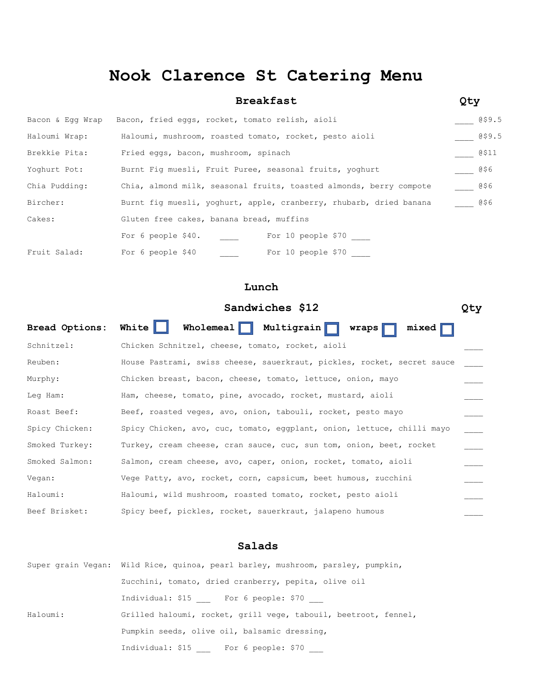## **Nook Clarence St Catering Menu**

|                  | <b>Breakfast</b>                                                   | Qty         |  |  |
|------------------|--------------------------------------------------------------------|-------------|--|--|
| Bacon & Egg Wrap | Bacon, fried eggs, rocket, tomato relish, aioli                    | @\$9.5      |  |  |
| Haloumi Wrap:    | Haloumi, mushroom, roasted tomato, rocket, pesto aioli             | 059.5       |  |  |
| Brekkie Pita:    | Fried eggs, bacon, mushroom, spinach                               | @\$11       |  |  |
| Yoghurt Pot:     | Burnt Fig muesli, Fruit Puree, seasonal fruits, yoghurt            |             |  |  |
| Chia Pudding:    | Chia, almond milk, seasonal fruits, toasted almonds, berry compote |             |  |  |
| Bircher:         | Burnt fiq muesli, yoghurt, apple, cranberry, rhubarb, dried banana | <b>@\$6</b> |  |  |
| Cakes:           | Gluten free cakes, banana bread, muffins                           |             |  |  |
|                  | For 10 people \$70<br>For 6 people \$40.                           |             |  |  |
| Fruit Salad:     | For 6 people \$40<br>For 10 people \$70                            |             |  |  |

### **Lunch**

# **Sandwiches \$12 Qty** Bread Options: White Wholemeal Multigrain wraps mixed Schnitzel: Chicken Schnitzel, cheese, tomato, rocket, aioli Reuben: House Pastrami, swiss cheese, sauerkraut, pickles, rocket, secret sauce Murphy: Chicken breast, bacon, cheese, tomato, lettuce, onion, mayo Leg Ham: Ham, cheese, tomato, pine, avocado, rocket, mustard, aioli Roast Beef: Beef, roasted veges, avo, onion, tabouli, rocket, pesto mayo Spicy Chicken: Spicy Chicken, avo, cuc, tomato, eggplant, onion, lettuce, chilli mayo \_\_\_\_ Smoked Turkey: Turkey, cream cheese, cran sauce, cuc, sun tom, onion, beet, rocket Smoked Salmon: Salmon, cream cheese, avo, caper, onion, rocket, tomato, aioli Vegan: Vege Patty, avo, rocket, corn, capsicum, beet humous, zucchini Haloumi: Haloumi, wild mushroom, roasted tomato, rocket, pesto aioli Beef Brisket: Spicy beef, pickles, rocket, sauerkraut, jalapeno humous

### **Salads**

|          | Super grain Vegan: Wild Rice, quinoa, pearl barley, mushroom, parsley, pumpkin, |  |  |
|----------|---------------------------------------------------------------------------------|--|--|
|          | Zucchini, tomato, dried cranberry, pepita, olive oil                            |  |  |
|          | Individual: \$15 For 6 people: \$70                                             |  |  |
| Haloumi: | Grilled haloumi, rocket, grill vege, tabouil, beetroot, fennel,                 |  |  |
|          | Pumpkin seeds, olive oil, balsamic dressing,                                    |  |  |
|          | Individual: \$15 For 6 people: \$70                                             |  |  |